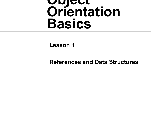# **Object Orientation Basics**

#### **Lesson 1**

#### **References and Data Structures**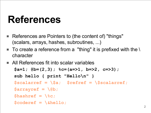#### **References**

- References are Pointers to (the content of) "things" (scalars, arrays, hashes, subroutines, ...)
- $\blacksquare$  To create a reference from a "thing" it is prefixed with the \ character
- All References fit into scalar variables

**\$a=1; @b=(2,3); %c=(a=>1, b=>2, c=>3); sub hello { print "Hello\n" } \$scalarref = \\$a; \$refref = \\$scalarref; \$arrayref = \@b;**  $\texttt{Shashref} = \sqrt{\text{sc}}$ ; **\$coderef = \&hello;**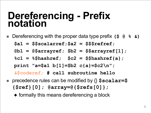#### **Dereferencing - Prefix notation**

- Dereferencing with the proper data type prefix **(\$ @ % &)**
	- **\$a1 = \$\$scalarref;\$a2 = \$\$\$refref;**

**@b1 = @\$arrayref; \$b2 = \$\$arrayref[1];**

**%c1 = %\$hashref; \$c2 = \$\$hashref{a};**

**print "a=\$a1 b[1]=\$b2 c{a}=\$c2\n";**

**&\$coderef; # call subroutine hello**

- precedence rules can be modified by  $\{\}$  \$scalar=\$ **{\$ref}[0]; @array=@{\$refs[0]};**
	- ◆ formally this means dereferencing a block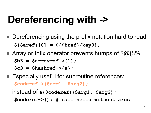# **Dereferencing with ->**

- Dereferencing using the prefix notation hard to read **\${\$aref}[0] = \${\$href}{key0};**
- **Array or Infix operator prevents humps of**  $\mathcal{S}(\alpha)$  **{** $\mathcal{S}\%$ **} \$b3 = \$arrayref->[1]; \$c3 = \$hashref->{a};**
- Especially useful for subroutine references: **\$coderef->(\$arg1, \$arg2);**

instead of **&{\$coderef}(\$arg1, \$arg2); \$coderef->(); # call hello without args**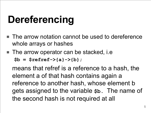# **Dereferencing**

- The arrow notation cannot be used to dereference whole arrays or hashes
- The arrow operator can be stacked, i.e

**\$b = \$refref->{a}->{b};**

means that refref is a reference to a hash, the element a of that hash contains again a reference to another hash, whose element b gets assigned to the variable **\$b.** The name of the second hash is not required at all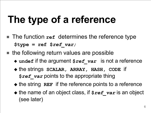# **The type of a reference**

- The function ref determines the reference type **\$type = ref \$***ref\_var;*
- the following return values are possible
	- ◆ undef<sup> if</sup> the argument \$*ref\_var* is not a reference
	- ◆ the strings **SCALAR, ARRAY, HASH, CODE** if **\$***ref\_var* points to the appropriate thing
	- ◆ the string **REF** if the reference points to a reference
	- ◆ the name of an object class, if  $\frac{2}{3}$ *ref\_var* is an object (see later)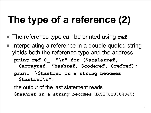# **The type of a reference (2)**

- The reference type can be printed using ref
- Interpolating a reference in a double quoted string yields both the reference type and the address

**print ref \$\_, "\n" for (\$scalarref,**

**\$arrayref, \$hashref, \$coderef, \$refref);**

**print "\\$hashref in a string becomes \$hashref\n";**

the output of the last statement reads **\$hashref in a string becomes** HASH(0x8784040)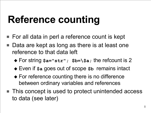# **Reference counting**

- For all data in perl a reference count is kept
- Data are kept as long as there is at least one reference to that data left
	- ◆ For string **\$a="str"; \$b=\\$a;** the refcount is 2
	- ◆ Even if **\$a** goes out of scope **\$b** remains intact
	- ◆ For reference counting there is no difference between ordinary variables and references
- This concept is used to protect unintended access to data (see later)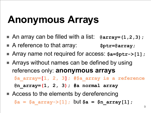# **Anonymous Arrays**

- An array can be filled with a list: @array=(1,2,3);
- A reference to that array: **\$ptr=@array**;
- Array name not required for access: **\$a=\$ptr->[1];**
- Arrays without names can be defined by using references only: **anonymous arrays \$a\_array=[1, 2, 3]; #\$a\_array is a reference**

**@n\_array=(1, 2, 3); #a normal array**

■ Access to the elements by dereferencing

 $$a = $a$ array->[1];$  but  $$a = $n$ array[1];$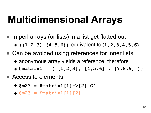# **Multidimensional Arrays**

- In perl arrays (or lists) in a list get flatted out ◆ **((1,2,3),(4,5,6))** equivalent to**(1,2,3,4,5,6)**
- Can be avoided using references for inner lists
	- ◆ anonymous array yields a reference, therefore
	- ◆ **@matrix1 = ( [1,2,3], [4,5,6] , [7,8,9] );**
- Access to elements
	- ◆ **\$m23 = \$matrix1[1]->[2]** or
	- ◆ **\$m23 = \$matrix1[1][2]**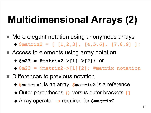# **Multidimensional Arrays (2)**

- More elegant notation using anonymous arrays ◆ **\$matrix2 = [ [1,2,3], [4,5,6], [7,8,9] ];**
- Access to elements using array notation
	- ◆ **\$m23 = \$matrix2->[1]->[2];** or
	- ◆ **\$m23 = \$matrix2->[1][2]; #matrix notation**
- Differences to previous notation
	- ◆ **@matrix1** is an array, **\$matrix2** is a reference
	- ◆ Outer parentheses **()** versus outer brackets **[]**
	- ◆ Array operator **->** required for **\$matrix2**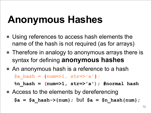# **Anonymous Hashes**

- Using references to access hash elements the name of the hash is not required (as for arrays)
- Therefore in analogy to anonymous arrays there is syntax for defining **anonymous hashes**
- An anonymous hash is a reference to a hash  $\frac{1}{2}$  hash =  $\{num=>1, str=>'a' \};$

**%n\_hash = (num=>1, str=>'a'); #normal hash**

■ Access to the elements by dereferencing  $$a = $a$ hash->{num}; but $a = $n$ hash{num};$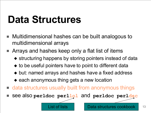#### **Data Structures**

- Multidimensional hashes can be built analogous to multidimensional arrays
- Arrays and hashes keep only a flat list of items
	- ◆ structuring happens by storing pointers instead of data
	- ◆ to be useful pointers have to point to different data
	- ◆ but: named arrays and hashes have a fixed address
	- ◆ each anonymous thing gets a new location
- data structures usually built from anonymous things
- see also **perldoc perllol** and **perldoc perldsc**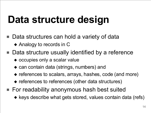# **Data structure design**

- Data structures can hold a variety of data
	- ◆ Analogy to records in C
- Data structure usually identified by a reference
	- ◆ occupies only a scalar value
	- ◆ can contain data (strings, numbers) and
	- ◆ references to scalars, arrays, hashes, code (and more)
	- ◆ references to references (other data structures)
- For readability anonymous hash best suited
	- ◆ keys describe what gets stored, values contain data (refs)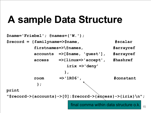#### **A sample Data Structure**

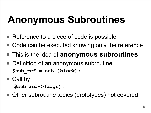# **Anonymous Subroutines**

- Reference to a piece of code is possible
- Code can be executed knowing only the reference
- This is the idea of **anonymous subroutines**
- Definition of an anonymous subroutine **\$sub\_ref = sub {***block***};**
- Call by

**\$sub\_ref->(args);**

■ Other subroutine topics (prototypes) not covered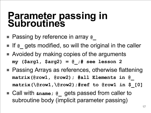#### **Parameter passing in Subroutines**

- Passing by reference in array @
- If @ gets modified, so will the original in the caller
- Avoided by making copies of the arguments **my (\$arg1, \$arg2) = @\_;# see lesson 2**
- Passing Arrays as references, otherwise flattening **matrix(@row1, @row2); #all Elements in @\_ matrix(\@row1,\@row2);#ref to @row1 in \$\_[0]**
- Call with **&name**; @ gets passed from caller to subroutine body (implicit parameter passing)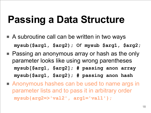# **Passing a Data Structure**

- A subroutine call can be written in two ways **mysub(\$arg1, \$arg2);** or **mysub \$arg1, \$arg2;**
- Passing an anonymous array or hash as the only parameter looks like using wrong parentheses **mysub[\$arg1, \$arg2]; # passing anon array mysub{\$arg1, \$arg2}; # passing anon hash**
- Anonymous hashes can be used to name args in parameter lists and to pass it in arbitrary order **mysub{arg2=>'val2' , arg1='val1'};**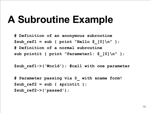#### **A Subroutine Example**

**# Definition of an anonymous subroutine \$sub\_ref1 = sub { print "Hello \$\_[0]\n" }; # Definition of a normal subroutine sub printit { print "Parameter1: \$\_[0]\n" };**

```
$sub_ref1->('World'); #call with one parameter
```

```
# Parameter passing via @_ with &name form!
$sub_ref2 = sub { &printit };
$sub_ref2->('passed');
```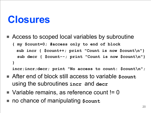#### **Closures**

■ Access to scoped local variables by subroutine **{ my \$count=0; #access only to end of block**

```
 sub incr { $count++; print "Count is now $count\n"}
  sub decr { $count--; print "Count is now $count\n"}
}
```
**incr;incr;decr; print "No access to count: \$count\n";**

- After end of block still access to variable \$count using the subroutines **incr** and **decr**
- $\blacksquare$  Variable remains, as reference count != 0
- no chance of manipulating \$count